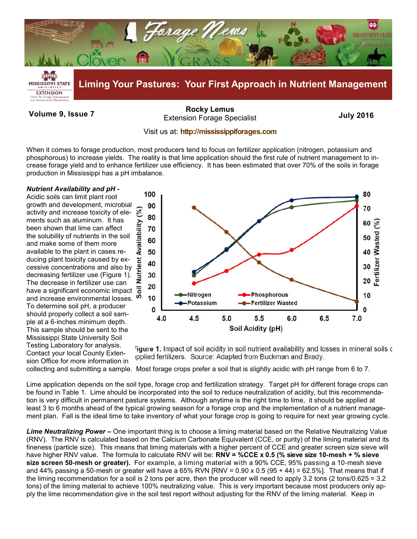

**Volume 9, Issue 7 July 2016** Extension Forage Specialist **[Rocky Lemus](mailto:RLemus@ext.msstate.edu?subject=Forage%20News:%20Janaury%202011)**

## Visit us at: **<http://mississippiforages.com>**

When it comes to forage production, most producers tend to focus on fertilizer application (nitrogen, potassium and phosphorous) to increase yields. The reality is that lime application should the first rule of nutrient management to increase forage yield and to enhance fertilizer use efficiency. It has been estimated that over 70% of the soils in forage production in Mississippi has a pH imbalance.

## *Nutrient Availability and pH -*

Acidic soils can limit plant root growth and development, microbial activity and increase toxicity of elements such as aluminum. It has been shown that lime can affect the solubility of nutrients in the soil and make some of them more available to the plant in cases reducing plant toxicity caused by excessive concentrations and also by decreasing fertilizer use (Figure 1). The decrease in fertilizer use can have a significant economic impact  $\overline{5}$ <br>and increase environmental losses. and increase environmental losses. To determine soil pH, a producer should properly collect a soil sample at a 6-inches minimum depth. This sample should be sent to the Mississippi State University Soil Testing Laboratory for analysis. Contact your local County Extension Office for more information in



igure 1. Impact of soil acidity in soil nutrient availability and losses in mineral soils of ipplied fertilizers. Source: Adapted from Buckman and Brady.

collecting and submitting a sample. Most forage crops prefer a soil that is slightly acidic with pH range from 6 to 7.

Lime application depends on the soil type, forage crop and fertilization strategy. Target pH for different forage crops can be found in Table 1. Lime should be incorporated into the soil to reduce neutralization of acidity, but this recommendation is very difficult in permanent pasture systems. Although anytime is the right time to lime, it should be applied at least 3 to 6 months ahead of the typical growing season for a forage crop and the implementation of a nutrient management plan. Fall is the ideal time to take inventory of what your forage crop is going to require for next year growing cycle.

*Lime Neutralizing Power –* One important thing is to choose a liming material based on the Relative Neutralizing Value (RNV). The RNV is calculated based on the Calcium Carbonate Equivalent (CCE, or purity) of the liming material and its fineness (particle size). This means that liming materials with a higher percent of CCE and greater screen size sieve will have higher RNV value. The formula to calculate RNV will be: **RNV = %CCE x 0.5 (% sieve size 10-mesh + % sieve size screen 50-mesh or greater).** For example, a liming material with a 90% CCE, 95% passing a 10-mesh sieve and 44% passing a 50-mesh or greater will have a 65% RVN  $IRNV = 0.90 \times 0.5 (95 + 44) = 62.5\%$ ]. That means that if the liming recommendation for a soil is 2 tons per acre, then the producer will need to apply 3.2 tons (2 tons/0.625 = 3.2 tons) of the liming material to achieve 100% neutralizing value. This is very important because most producers only apply the lime recommendation give in the soil test report without adjusting for the RNV of the liming material. Keep in